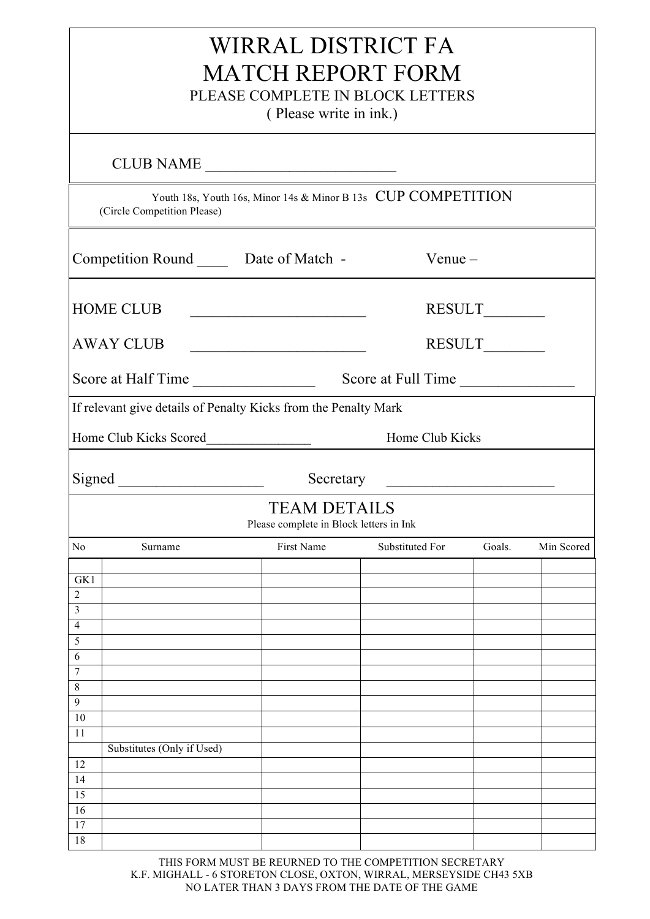| WIRRAL DISTRICT FA<br><b>MATCH REPORT FORM</b><br>PLEASE COMPLETE IN BLOCK LETTERS<br>(Please write in ink.) |                                          |                                                                 |                 |        |            |  |  |  |  |
|--------------------------------------------------------------------------------------------------------------|------------------------------------------|-----------------------------------------------------------------|-----------------|--------|------------|--|--|--|--|
| CLUB NAME                                                                                                    |                                          |                                                                 |                 |        |            |  |  |  |  |
| Youth 18s, Youth 16s, Minor 14s & Minor B 13s CUP COMPETITION<br>(Circle Competition Please)                 |                                          |                                                                 |                 |        |            |  |  |  |  |
|                                                                                                              | Competition Round ______ Date of Match - |                                                                 | $V$ enue $-$    |        |            |  |  |  |  |
|                                                                                                              | <b>HOME CLUB</b>                         | <u> 1989 - Johann Barbara, martin amerikan basa</u>             |                 |        |            |  |  |  |  |
|                                                                                                              | <b>AWAY CLUB</b>                         | <u> 1989 - Johann Barn, fransk politik amerikansk politik (</u> |                 |        |            |  |  |  |  |
|                                                                                                              |                                          |                                                                 |                 |        |            |  |  |  |  |
| If relevant give details of Penalty Kicks from the Penalty Mark                                              |                                          |                                                                 |                 |        |            |  |  |  |  |
| Home Club Kicks Scored<br>Home Club Kicks                                                                    |                                          |                                                                 |                 |        |            |  |  |  |  |
| Secretary<br><u> 1999 - Johann Barbara, martin a</u>                                                         |                                          |                                                                 |                 |        |            |  |  |  |  |
| <b>TEAM DETAILS</b><br>Please complete in Block letters in Ink                                               |                                          |                                                                 |                 |        |            |  |  |  |  |
| No                                                                                                           | Surname                                  | First Name                                                      | Substituted For | Goals. | Min Scored |  |  |  |  |
| GK1                                                                                                          |                                          |                                                                 |                 |        |            |  |  |  |  |
| $\overline{2}$                                                                                               |                                          |                                                                 |                 |        |            |  |  |  |  |
| 3<br>$\overline{4}$                                                                                          |                                          |                                                                 |                 |        |            |  |  |  |  |
| 5                                                                                                            |                                          |                                                                 |                 |        |            |  |  |  |  |
| 6                                                                                                            |                                          |                                                                 |                 |        |            |  |  |  |  |
| $\tau$                                                                                                       |                                          |                                                                 |                 |        |            |  |  |  |  |
| 8<br>9                                                                                                       |                                          |                                                                 |                 |        |            |  |  |  |  |
| $10\,$                                                                                                       |                                          |                                                                 |                 |        |            |  |  |  |  |
| 11                                                                                                           |                                          |                                                                 |                 |        |            |  |  |  |  |
| 12                                                                                                           | Substitutes (Only if Used)               |                                                                 |                 |        |            |  |  |  |  |
| 14                                                                                                           |                                          |                                                                 |                 |        |            |  |  |  |  |
| 15                                                                                                           |                                          |                                                                 |                 |        |            |  |  |  |  |
| 16                                                                                                           |                                          |                                                                 |                 |        |            |  |  |  |  |
| 17<br>18                                                                                                     |                                          |                                                                 |                 |        |            |  |  |  |  |
|                                                                                                              |                                          |                                                                 |                 |        |            |  |  |  |  |

THIS FORM MUST BE REURNED TO THE COMPETITION SECRETARY K.F. MIGHALL - 6 STORETON CLOSE, OXTON, WIRRAL, MERSEYSIDE CH43 5XB NO LATER THAN 3 DAYS FROM THE DATE OF THE GAME